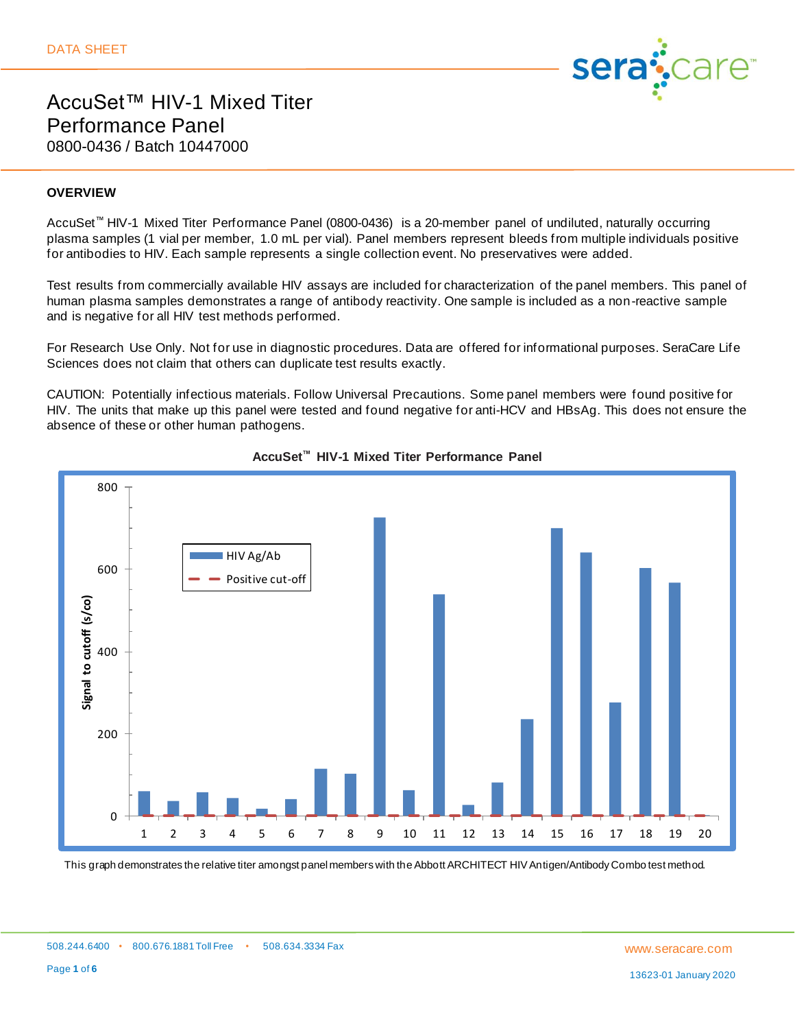

### **OVERVIEW**

AccuSet™ HIV-1 Mixed Titer Performance Panel (0800-0436) is a 20-member panel of undiluted, naturally occurring plasma samples (1 vial per member, 1.0 mL per vial). Panel members represent bleeds from multiple individuals positive for antibodies to HIV. Each sample represents a single collection event. No preservatives were added.

Test results from commercially available HIV assays are included for characterization of the panel members. This panel of human plasma samples demonstrates a range of antibody reactivity. One sample is included as a non-reactive sample and is negative for all HIV test methods performed.

For Research Use Only. Not for use in diagnostic procedures. Data are offered for informational purposes. SeraCare Life Sciences does not claim that others can duplicate test results exactly.

CAUTION: Potentially infectious materials. Follow Universal Precautions. Some panel members were found positive for HIV. The units that make up this panel were tested and found negative for anti-HCV and HBsAg. This does not ensure the absence of these or other human pathogens.





This graph demonstrates the relative titer amongst panel members with the Abbott ARCHITECT HIV Antigen/Antibody Combo test method.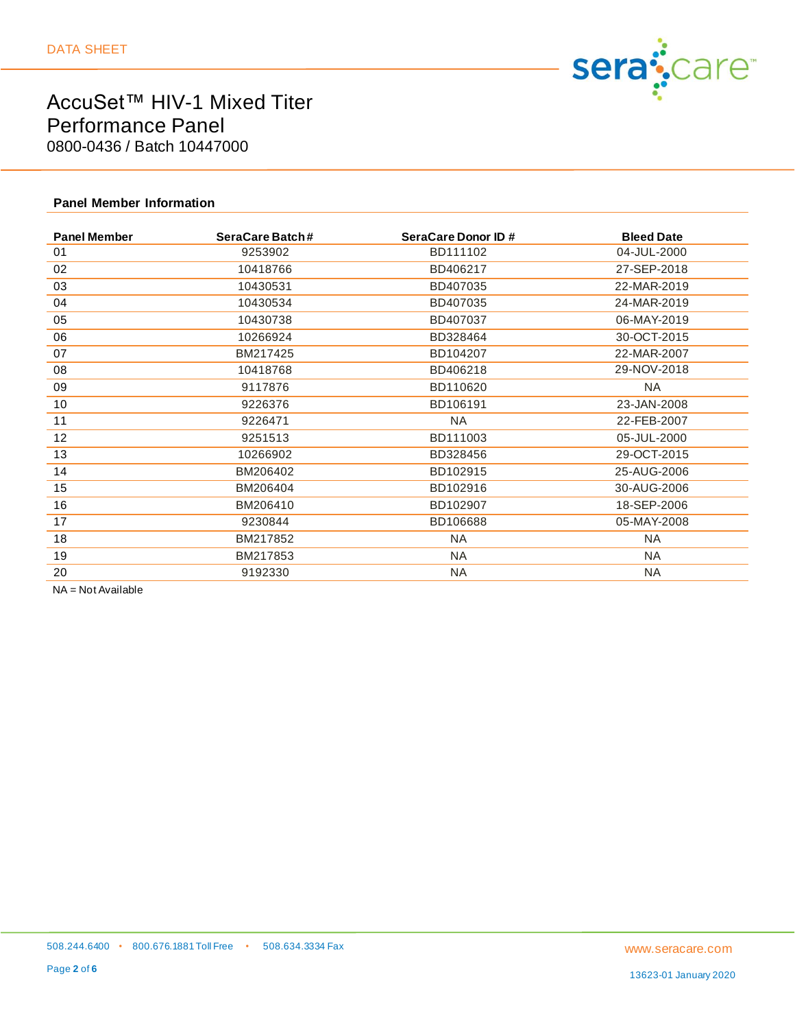

### **Panel Member Information**

| <b>Panel Member</b> | SeraCare Batch# | SeraCare Donor ID # | <b>Bleed Date</b> |
|---------------------|-----------------|---------------------|-------------------|
| 01                  | 9253902         | BD111102            | 04-JUL-2000       |
| 02                  | 10418766        | BD406217            | 27-SEP-2018       |
| 03                  | 10430531        | BD407035            | 22-MAR-2019       |
| 04                  | 10430534        | BD407035            | 24-MAR-2019       |
| 05                  | 10430738        | BD407037            | 06-MAY-2019       |
| 06                  | 10266924        | BD328464            | 30-OCT-2015       |
| 07                  | BM217425        | BD104207            | 22-MAR-2007       |
| 08                  | 10418768        | BD406218            | 29-NOV-2018       |
| 09                  | 9117876         | BD110620            | <b>NA</b>         |
| 10                  | 9226376         | BD106191            | 23-JAN-2008       |
| 11                  | 9226471         | <b>NA</b>           | 22-FEB-2007       |
| 12                  | 9251513         | BD111003            | 05-JUL-2000       |
| 13                  | 10266902        | BD328456            | 29-OCT-2015       |
| 14                  | BM206402        | BD102915            | 25-AUG-2006       |
| 15                  | BM206404        | BD102916            | 30-AUG-2006       |
| 16                  | BM206410        | BD102907            | 18-SEP-2006       |
| 17                  | 9230844         | BD106688            | 05-MAY-2008       |
| 18                  | BM217852        | NA.                 | NA.               |
| 19                  | BM217853        | NA                  | NA.               |
| 20                  | 9192330         | NA                  | NA                |

NA = Not Available

13623-01 January 2020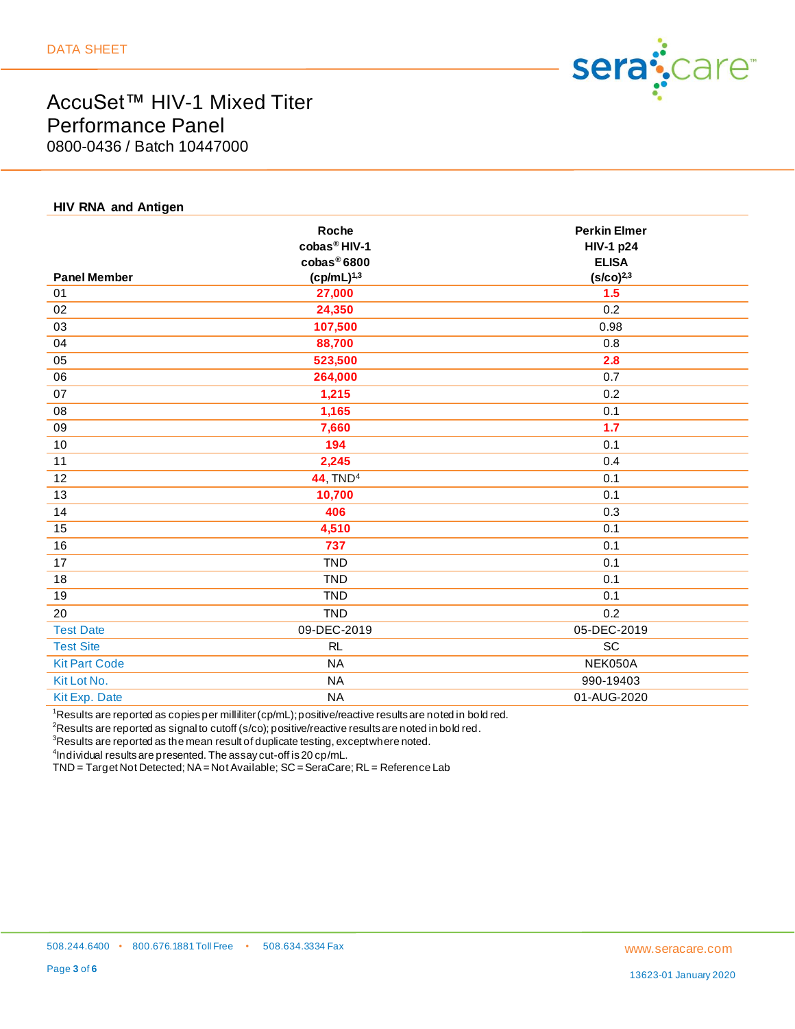

### **HIV RNA and Antigen**

|                      | Roche<br>cobas <sup>®</sup> HIV-1<br>$\cosh\theta$ 6800 | <b>Perkin Elmer</b><br><b>HIV-1 p24</b><br><b>ELISA</b> |
|----------------------|---------------------------------------------------------|---------------------------------------------------------|
| <b>Panel Member</b>  | $(cp/mL)^{1,3}$                                         | $(s/co)^{2,3}$                                          |
| 01                   | 27,000                                                  | 1.5                                                     |
| 02                   | 24,350                                                  | 0.2                                                     |
| 03                   | 107,500                                                 | 0.98                                                    |
| 04                   | 88,700                                                  | 0.8                                                     |
| 05                   | 523,500                                                 | 2.8                                                     |
| 06                   | 264,000                                                 | 0.7                                                     |
| 07                   | 1,215                                                   | 0.2                                                     |
| 08                   | 1,165                                                   | 0.1                                                     |
| 09                   | 7,660                                                   | 1.7                                                     |
| 10                   | 194                                                     | 0.1                                                     |
| 11                   | 2,245                                                   | 0.4                                                     |
| 12                   | <b>44, TND<sup>4</sup></b>                              | 0.1                                                     |
| 13                   | 10,700                                                  | 0.1                                                     |
| 14                   | 406                                                     | 0.3                                                     |
| 15                   | 4,510                                                   | 0.1                                                     |
| 16                   | 737                                                     | 0.1                                                     |
| 17                   | <b>TND</b>                                              | 0.1                                                     |
| 18                   | <b>TND</b>                                              | 0.1                                                     |
| 19                   | <b>TND</b>                                              | 0.1                                                     |
| 20                   | <b>TND</b>                                              | 0.2                                                     |
| <b>Test Date</b>     | 09-DEC-2019                                             | 05-DEC-2019                                             |
| <b>Test Site</b>     | RL                                                      | SC                                                      |
| <b>Kit Part Code</b> | <b>NA</b>                                               | NEK050A                                                 |
| Kit Lot No.          | <b>NA</b>                                               | 990-19403                                               |
| Kit Exp. Date        | <b>NA</b>                                               | 01-AUG-2020                                             |
|                      |                                                         |                                                         |

<sup>1</sup>Results are reported as copies per milliliter(cp/mL); positive/reactive results are noted in bold red.

 ${}^{2}$ Results are reported as signal to cutoff (s/co); positive/reactive results are noted in bold red.

 $3$ Results are reported as the mean result of duplicate testing, except where noted.

 $^4$ Individual results are presented. The assay cut-off is 20 cp/mL.

TND = Target Not Detected; NA = Not Available; SC = SeraCare; RL = Reference Lab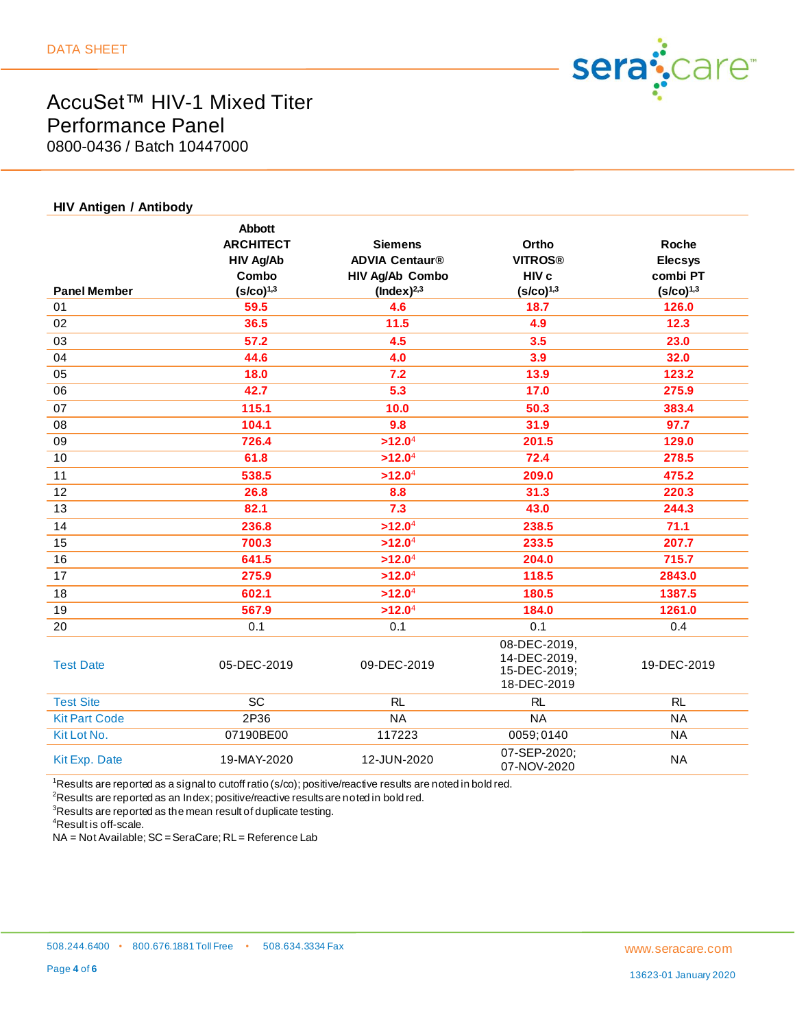

| <b>HIV Antigen / Antibody</b> |                                                                                  |                                                                               |                                                             |                                                       |
|-------------------------------|----------------------------------------------------------------------------------|-------------------------------------------------------------------------------|-------------------------------------------------------------|-------------------------------------------------------|
| <b>Panel Member</b>           | <b>Abbott</b><br><b>ARCHITECT</b><br><b>HIV Ag/Ab</b><br>Combo<br>$(S/CO)^{1,3}$ | <b>Siemens</b><br><b>ADVIA Centaur®</b><br>HIV Ag/Ab Combo<br>$(Index)^{2,3}$ | Ortho<br><b>VITROS®</b><br>HIV c<br>$(S/CO)^{1,3}$          | Roche<br><b>Elecsys</b><br>combi PT<br>$(S/CO)^{1,3}$ |
| 01                            | 59.5                                                                             | 4.6                                                                           | 18.7                                                        | 126.0                                                 |
| 02                            | 36.5                                                                             | 11.5                                                                          | 4.9                                                         | 12.3                                                  |
| 03                            | 57.2                                                                             | 4.5                                                                           | 3.5                                                         | 23.0                                                  |
| 04                            | 44.6                                                                             | 4.0                                                                           | 3.9                                                         | 32.0                                                  |
| 05                            | 18.0                                                                             | 7.2                                                                           | 13.9                                                        | 123.2                                                 |
| 06                            | 42.7                                                                             | $\overline{5.3}$                                                              | 17.0                                                        | 275.9                                                 |
| 07                            | 115.1                                                                            | 10.0                                                                          | 50.3                                                        | 383.4                                                 |
| 08                            | 104.1                                                                            | 9.8                                                                           | 31.9                                                        | 97.7                                                  |
| 09                            | 726.4                                                                            | >12.0 <sup>4</sup>                                                            | 201.5                                                       | 129.0                                                 |
| 10                            | 61.8                                                                             | >12.0 <sup>4</sup>                                                            | 72.4                                                        | 278.5                                                 |
| 11                            | 538.5                                                                            | >12.0 <sup>4</sup>                                                            | 209.0                                                       | 475.2                                                 |
| 12                            | 26.8                                                                             | 8.8                                                                           | 31.3                                                        | 220.3                                                 |
| 13                            | 82.1                                                                             | 7.3                                                                           | 43.0                                                        | 244.3                                                 |
| 14                            | 236.8                                                                            | >12.0 <sup>4</sup>                                                            | 238.5                                                       | 71.1                                                  |
| 15                            | 700.3                                                                            | >12.0 <sup>4</sup>                                                            | 233.5                                                       | 207.7                                                 |
| 16                            | 641.5                                                                            | >12.0 <sup>4</sup>                                                            | 204.0                                                       | 715.7                                                 |
| 17                            | 275.9                                                                            | >12.0 <sup>4</sup>                                                            | 118.5                                                       | 2843.0                                                |
| 18                            | 602.1                                                                            | >12.0 <sup>4</sup>                                                            | 180.5                                                       | 1387.5                                                |
| 19                            | 567.9                                                                            | >12.0 <sup>4</sup>                                                            | 184.0                                                       | 1261.0                                                |
| 20                            | 0.1                                                                              | 0.1                                                                           | 0.1                                                         | 0.4                                                   |
| <b>Test Date</b>              | 05-DEC-2019                                                                      | 09-DEC-2019                                                                   | 08-DEC-2019,<br>14-DEC-2019,<br>15-DEC-2019;<br>18-DEC-2019 | 19-DEC-2019                                           |
| <b>Test Site</b>              | SC                                                                               | <b>RL</b>                                                                     | <b>RL</b>                                                   | <b>RL</b>                                             |
| <b>Kit Part Code</b>          | 2P36                                                                             | <b>NA</b>                                                                     | <b>NA</b>                                                   | <b>NA</b>                                             |
| Kit Lot No.                   | 07190BE00                                                                        | 117223                                                                        | 0059;0140                                                   | NA                                                    |
| Kit Exp. Date                 | 19-MAY-2020                                                                      | 12-JUN-2020                                                                   | 07-SEP-2020;<br>07-NOV-2020                                 | <b>NA</b>                                             |

<sup>1</sup>Results are reported as a signal to cutoff ratio (s/co); positive/reactive results are noted in bold red.

 $2R$ esults are reported as an Index; positive/reactive results are noted in bold red.

 $3$ Results are reported as the mean result of duplicate testing.

<sup>4</sup>Result is off-scale.

NA = Not Available; SC = SeraCare; RL = Reference Lab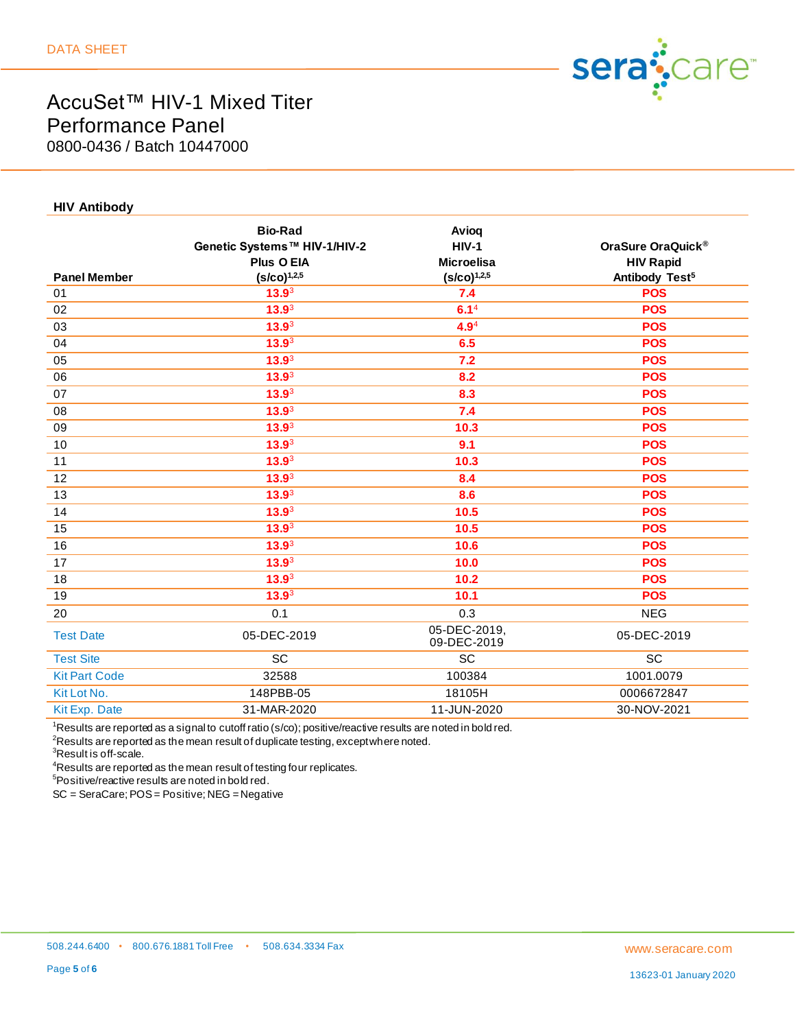

#### **HIV Antibody**

|                      | <b>Bio-Rad</b><br>Genetic Systems™ HIV-1/HIV-2<br>Plus O EIA | Avioq<br><b>HIV-1</b><br><b>Microelisa</b> | OraSure OraQuick <sup>®</sup><br><b>HIV Rapid</b> |
|----------------------|--------------------------------------------------------------|--------------------------------------------|---------------------------------------------------|
| <b>Panel Member</b>  | $(S/CO)^{1,2,5}$                                             | $(S/CO)^{1,2,5}$                           | Antibody Test <sup>5</sup>                        |
| 01                   | 13.9 <sup>3</sup>                                            | 7.4                                        | <b>POS</b>                                        |
| 02                   | 13.9 <sup>3</sup>                                            | 6.1 <sup>4</sup>                           | <b>POS</b>                                        |
| 03                   | 13.9 <sup>3</sup>                                            | $4.9^{4}$                                  | <b>POS</b>                                        |
| 04                   | 13.9 <sup>3</sup>                                            | 6.5                                        | <b>POS</b>                                        |
| 05                   | 13.9 <sup>3</sup>                                            | 7.2                                        | <b>POS</b>                                        |
| 06                   | 13.9 <sup>3</sup>                                            | 8.2                                        | <b>POS</b>                                        |
| 07                   | 13.9 <sup>3</sup>                                            | 8.3                                        | <b>POS</b>                                        |
| 08                   | 13.9 <sup>3</sup>                                            | 7.4                                        | <b>POS</b>                                        |
| 09                   | 13.9 <sup>3</sup>                                            | 10.3                                       | <b>POS</b>                                        |
| 10                   | 13.9 <sup>3</sup>                                            | 9.1                                        | <b>POS</b>                                        |
| 11                   | 13.9 <sup>3</sup>                                            | 10.3                                       | <b>POS</b>                                        |
| 12                   | 13.9 <sup>3</sup>                                            | 8.4                                        | <b>POS</b>                                        |
| 13                   | 13.9 <sup>3</sup>                                            | 8.6                                        | <b>POS</b>                                        |
| 14                   | 13.9 <sup>3</sup>                                            | 10.5                                       | <b>POS</b>                                        |
| 15                   | 13.9 <sup>3</sup>                                            | 10.5                                       | <b>POS</b>                                        |
| 16                   | $13.9^3$                                                     | 10.6                                       | <b>POS</b>                                        |
| 17                   | 13.9 <sup>3</sup>                                            | 10.0                                       | <b>POS</b>                                        |
| 18                   | 13.9 <sup>3</sup>                                            | 10.2                                       | <b>POS</b>                                        |
| 19                   | 13.9 <sup>3</sup>                                            | 10.1                                       | <b>POS</b>                                        |
| 20                   | 0.1                                                          | 0.3                                        | <b>NEG</b>                                        |
| <b>Test Date</b>     | 05-DEC-2019                                                  | 05-DEC-2019,<br>09-DEC-2019                | 05-DEC-2019                                       |
| <b>Test Site</b>     | SC                                                           | SC                                         | SC                                                |
| <b>Kit Part Code</b> | 32588                                                        | 100384                                     | 1001.0079                                         |
| Kit Lot No.          | 148PBB-05                                                    | 18105H                                     | 0006672847                                        |
| Kit Exp. Date        | 31-MAR-2020                                                  | 11-JUN-2020                                | 30-NOV-2021                                       |
|                      |                                                              |                                            |                                                   |

 $1$ Results are reported as a signal to cutoff ratio (s/co); positive/reactive results are noted in bold red.

 ${}^{2}$ Results are reported as the mean result of duplicate testing, except where noted.

 ${}^{3}$ Result is off-scale.

 $4$ Results are reported as the mean result of testing four replicates.

<sup>5</sup>Positive/reactive results are noted in bold red.

SC = SeraCare; POS = Positive; NEG = Negative